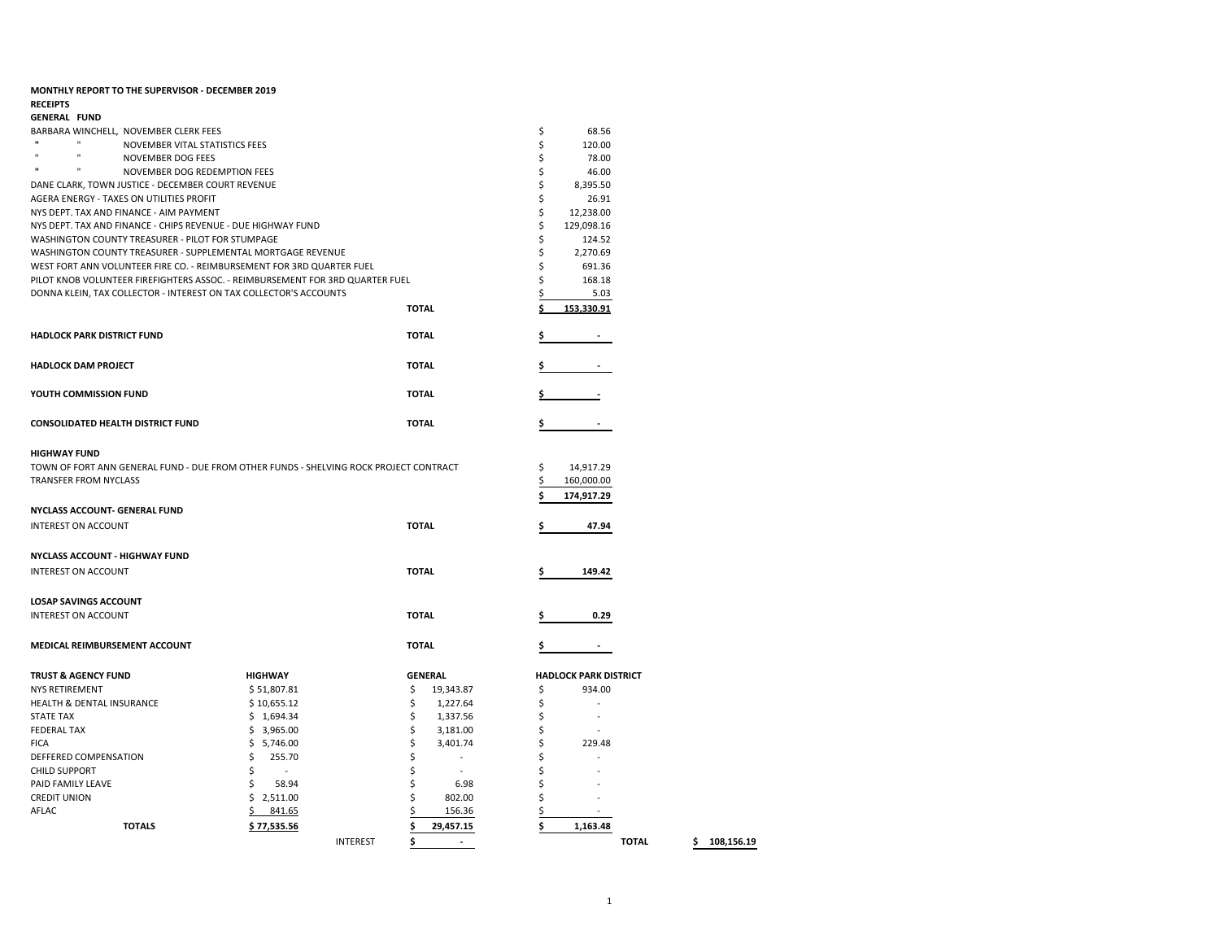| MONTHLY REPORT TO THE SUPERVISOR - DECEMBER 2019  |                                                                                       |                           |                              |                 |
|---------------------------------------------------|---------------------------------------------------------------------------------------|---------------------------|------------------------------|-----------------|
| <b>RECEIPTS</b>                                   |                                                                                       |                           |                              |                 |
| <b>GENERAL FUND</b>                               |                                                                                       |                           |                              |                 |
| BARBARA WINCHELL, NOVEMBER CLERK FEES             |                                                                                       |                           | \$<br>68.56                  |                 |
| $\mathbf{u}$<br>$\mathbf{u}$                      | NOVEMBER VITAL STATISTICS FEES                                                        |                           | \$<br>120.00                 |                 |
| $\mathbf{u}$<br>$\mathbf{u}$<br>NOVEMBER DOG FEES |                                                                                       |                           | \$<br>78.00                  |                 |
| $\mathbf{u}$<br>n                                 | NOVEMBER DOG REDEMPTION FEES                                                          |                           | \$<br>46.00                  |                 |
| DANE CLARK, TOWN JUSTICE - DECEMBER COURT REVENUE |                                                                                       |                           | \$<br>8,395.50               |                 |
| AGERA ENERGY - TAXES ON UTILITIES PROFIT          |                                                                                       |                           | \$<br>26.91                  |                 |
| NYS DEPT. TAX AND FINANCE - AIM PAYMENT           |                                                                                       |                           | \$<br>12,238.00              |                 |
|                                                   | NYS DEPT. TAX AND FINANCE - CHIPS REVENUE - DUE HIGHWAY FUND                          |                           | \$<br>129,098.16             |                 |
| WASHINGTON COUNTY TREASURER - PILOT FOR STUMPAGE  |                                                                                       |                           | \$<br>124.52                 |                 |
|                                                   | WASHINGTON COUNTY TREASURER - SUPPLEMENTAL MORTGAGE REVENUE                           |                           | \$<br>2,270.69               |                 |
|                                                   | WEST FORT ANN VOLUNTEER FIRE CO. - REIMBURSEMENT FOR 3RD QUARTER FUEL                 |                           | \$<br>691.36                 |                 |
|                                                   | PILOT KNOB VOLUNTEER FIREFIGHTERS ASSOC. - REIMBURSEMENT FOR 3RD QUARTER FUEL         |                           | \$<br>168.18                 |                 |
|                                                   | DONNA KLEIN, TAX COLLECTOR - INTEREST ON TAX COLLECTOR'S ACCOUNTS                     |                           | \$<br>5.03                   |                 |
|                                                   |                                                                                       | <b>TOTAL</b>              | ¢<br>153,330.91              |                 |
| <b>HADLOCK PARK DISTRICT FUND</b>                 |                                                                                       | <b>TOTAL</b>              |                              |                 |
| <b>HADLOCK DAM PROJECT</b>                        |                                                                                       | <b>TOTAL</b>              |                              |                 |
| YOUTH COMMISSION FUND                             |                                                                                       | <b>TOTAL</b>              |                              |                 |
| <b>CONSOLIDATED HEALTH DISTRICT FUND</b>          |                                                                                       | <b>TOTAL</b>              |                              |                 |
|                                                   |                                                                                       |                           |                              |                 |
| <b>HIGHWAY FUND</b>                               |                                                                                       |                           |                              |                 |
|                                                   | TOWN OF FORT ANN GENERAL FUND - DUE FROM OTHER FUNDS - SHELVING ROCK PROJECT CONTRACT |                           | \$<br>14,917.29              |                 |
| <b>TRANSFER FROM NYCLASS</b>                      |                                                                                       |                           | \$<br>160,000.00             |                 |
|                                                   |                                                                                       |                           | \$<br>174,917.29             |                 |
| <b>NYCLASS ACCOUNT- GENERAL FUND</b>              |                                                                                       |                           |                              |                 |
| <b>INTEREST ON ACCOUNT</b>                        |                                                                                       | <b>TOTAL</b>              | Ś<br>47.94                   |                 |
|                                                   |                                                                                       |                           |                              |                 |
| <b>NYCLASS ACCOUNT - HIGHWAY FUND</b>             |                                                                                       |                           |                              |                 |
| <b>INTEREST ON ACCOUNT</b>                        |                                                                                       | <b>TOTAL</b>              | 149.42                       |                 |
| <b>LOSAP SAVINGS ACCOUNT</b>                      |                                                                                       |                           |                              |                 |
| <b>INTEREST ON ACCOUNT</b>                        |                                                                                       | <b>TOTAL</b>              | 0.29                         |                 |
|                                                   |                                                                                       |                           |                              |                 |
| MEDICAL REIMBURSEMENT ACCOUNT                     |                                                                                       | <b>TOTAL</b>              |                              |                 |
| <b>TRUST &amp; AGENCY FUND</b>                    | <b>HIGHWAY</b>                                                                        | <b>GENERAL</b>            | <b>HADLOCK PARK DISTRICT</b> |                 |
| <b>NYS RETIREMENT</b>                             | \$51,807.81                                                                           | \$<br>19,343.87           | \$<br>934.00                 |                 |
| HEALTH & DENTAL INSURANCE                         | \$10,655.12                                                                           | \$<br>1,227.64            | \$<br>$\sim$                 |                 |
| <b>STATE TAX</b>                                  | \$1,694.34                                                                            | \$<br>1,337.56            | \$                           |                 |
| <b>FEDERAL TAX</b>                                | \$3,965.00                                                                            | \$<br>3,181.00            | \$                           |                 |
| <b>FICA</b>                                       | \$<br>5,746.00                                                                        | \$<br>3,401.74            | \$<br>229.48                 |                 |
| DEFFERED COMPENSATION                             | \$<br>255.70                                                                          | \$<br>$\overline{a}$      | Ś                            |                 |
| <b>CHILD SUPPORT</b>                              | \$<br>$\blacksquare$                                                                  | \$<br>$\bar{\phantom{a}}$ | \$                           |                 |
| PAID FAMILY LEAVE                                 | \$<br>58.94                                                                           | \$<br>6.98                | \$                           |                 |
| <b>CREDIT UNION</b>                               | \$2,511.00                                                                            | \$<br>802.00              | \$                           |                 |
| AFLAC                                             | 841.65                                                                                | 156.36                    | \$                           |                 |
| <b>TOTALS</b>                                     | \$77,535.56                                                                           | Ś<br>29,457.15            | Ś<br>1,163.48                |                 |
|                                                   | <b>INTEREST</b>                                                                       | \$<br>$\overline{a}$      | <b>TOTAL</b>                 | 108,156.19<br>S |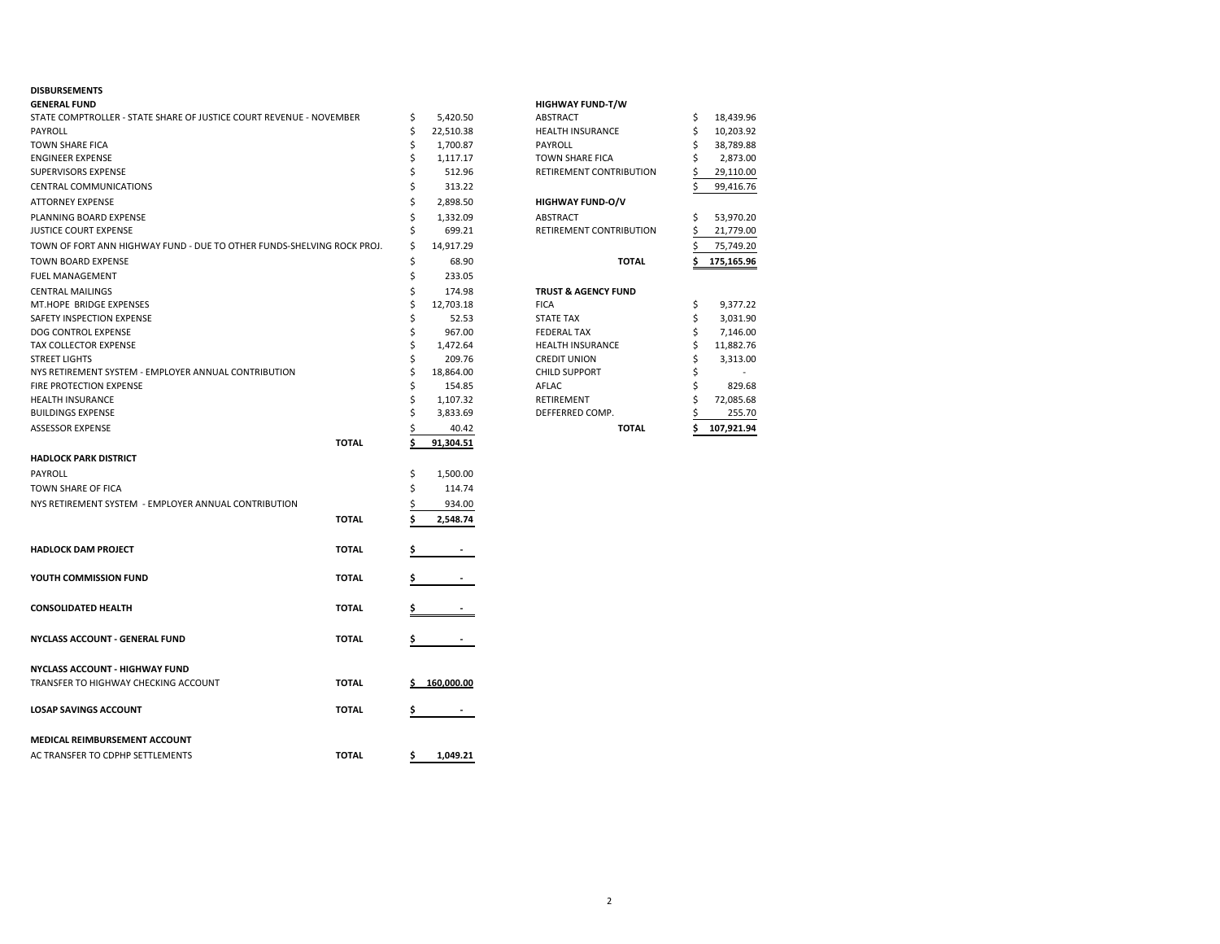## **DISBURSEMENTS**

| <b>GENERAL FUND</b>                                                    |              |    |              | <b>HIGHWAY FUND-T/W</b>        |    |            |
|------------------------------------------------------------------------|--------------|----|--------------|--------------------------------|----|------------|
| STATE COMPTROLLER - STATE SHARE OF JUSTICE COURT REVENUE - NOVEMBER    |              | \$ | 5,420.50     | ABSTRACT                       | \$ | 18,439.96  |
| PAYROLL                                                                |              | \$ | 22,510.38    | <b>HEALTH INSURANCE</b>        | \$ | 10,203.92  |
| <b>TOWN SHARE FICA</b>                                                 |              | Ś  | 1,700.87     | <b>PAYROLL</b>                 | Ś  | 38,789.88  |
| <b>ENGINEER EXPENSE</b>                                                |              | \$ | 1,117.17     | <b>TOWN SHARE FICA</b>         | \$ | 2,873.00   |
| SUPERVISORS EXPENSE                                                    |              | Ś  | 512.96       | RETIREMENT CONTRIBUTION        |    | 29,110.00  |
| <b>CENTRAL COMMUNICATIONS</b>                                          |              | Ś  | 313.22       |                                | Ś  | 99,416.76  |
| <b>ATTORNEY EXPENSE</b>                                                |              | \$ | 2,898.50     | <b>HIGHWAY FUND-O/V</b>        |    |            |
| PLANNING BOARD EXPENSE                                                 |              | Ś  | 1,332.09     | ABSTRACT                       | Ś  | 53,970.20  |
| JUSTICE COURT EXPENSE                                                  |              | Ś  | 699.21       | RETIREMENT CONTRIBUTION        |    | 21,779.00  |
| TOWN OF FORT ANN HIGHWAY FUND - DUE TO OTHER FUNDS-SHELVING ROCK PROJ. |              | \$ | 14,917.29    |                                |    | 75,749.20  |
| <b>TOWN BOARD EXPENSE</b>                                              |              | \$ | 68.90        | <b>TOTAL</b>                   |    | 175,165.96 |
| <b>FUEL MANAGEMENT</b>                                                 |              | \$ | 233.05       |                                |    |            |
| <b>CENTRAL MAILINGS</b>                                                |              | \$ | 174.98       | <b>TRUST &amp; AGENCY FUND</b> |    |            |
| MT.HOPE BRIDGE EXPENSES                                                |              | Ś  | 12,703.18    | <b>FICA</b>                    | \$ | 9,377.22   |
| SAFETY INSPECTION EXPENSE                                              |              | \$ | 52.53        | <b>STATE TAX</b>               | \$ | 3,031.90   |
| DOG CONTROL EXPENSE                                                    |              | Ś  | 967.00       | <b>FEDERAL TAX</b>             | Ś  | 7,146.00   |
| <b>TAX COLLECTOR EXPENSE</b>                                           |              | Ś  | 1,472.64     | <b>HEALTH INSURANCE</b>        | \$ | 11,882.76  |
|                                                                        |              | Ś  |              |                                |    |            |
| <b>STREET LIGHTS</b>                                                   |              |    | 209.76       | <b>CREDIT UNION</b>            | \$ | 3,313.00   |
| NYS RETIREMENT SYSTEM - EMPLOYER ANNUAL CONTRIBUTION                   |              | \$ | 18,864.00    | <b>CHILD SUPPORT</b>           | \$ |            |
| FIRE PROTECTION EXPENSE                                                |              | Ś  | 154.85       | AFLAC                          | Ś  | 829.68     |
| <b>HEALTH INSURANCE</b>                                                |              | Ś  | 1,107.32     | RETIREMENT                     | \$ | 72,085.68  |
| <b>BUILDINGS EXPENSE</b>                                               |              |    | 3,833.69     | DEFFERRED COMP.                |    | 255.70     |
| <b>ASSESSOR EXPENSE</b>                                                |              |    | 40.42        | <b>TOTAL</b>                   | Ś  | 107,921.94 |
|                                                                        | <b>TOTAL</b> | s  | 91,304.51    |                                |    |            |
| <b>HADLOCK PARK DISTRICT</b>                                           |              |    |              |                                |    |            |
| PAYROLL                                                                |              | \$ | 1,500.00     |                                |    |            |
| TOWN SHARE OF FICA                                                     |              | Ś  | 114.74       |                                |    |            |
| NYS RETIREMENT SYSTEM - EMPLOYER ANNUAL CONTRIBUTION                   |              |    | 934.00       |                                |    |            |
|                                                                        | <b>TOTAL</b> |    | 2,548.74     |                                |    |            |
| <b>HADLOCK DAM PROJECT</b>                                             | <b>TOTAL</b> |    |              |                                |    |            |
|                                                                        |              |    |              |                                |    |            |
| YOUTH COMMISSION FUND                                                  | <b>TOTAL</b> |    |              |                                |    |            |
| <b>CONSOLIDATED HEALTH</b>                                             | <b>TOTAL</b> | s  |              |                                |    |            |
| NYCLASS ACCOUNT - GENERAL FUND                                         | <b>TOTAL</b> | \$ |              |                                |    |            |
| <b>NYCLASS ACCOUNT - HIGHWAY FUND</b>                                  |              |    |              |                                |    |            |
| TRANSFER TO HIGHWAY CHECKING ACCOUNT                                   | <b>TOTAL</b> |    | \$160,000.00 |                                |    |            |
|                                                                        |              |    |              |                                |    |            |
| <b>LOSAP SAVINGS ACCOUNT</b>                                           | <b>TOTAL</b> | \$ |              |                                |    |            |
| MEDICAL REIMBURSEMENT ACCOUNT                                          |              |    |              |                                |    |            |
| AC TRANSFER TO CDPHP SETTLEMENTS                                       | <b>TOTAL</b> | \$ | 1,049.21     |                                |    |            |